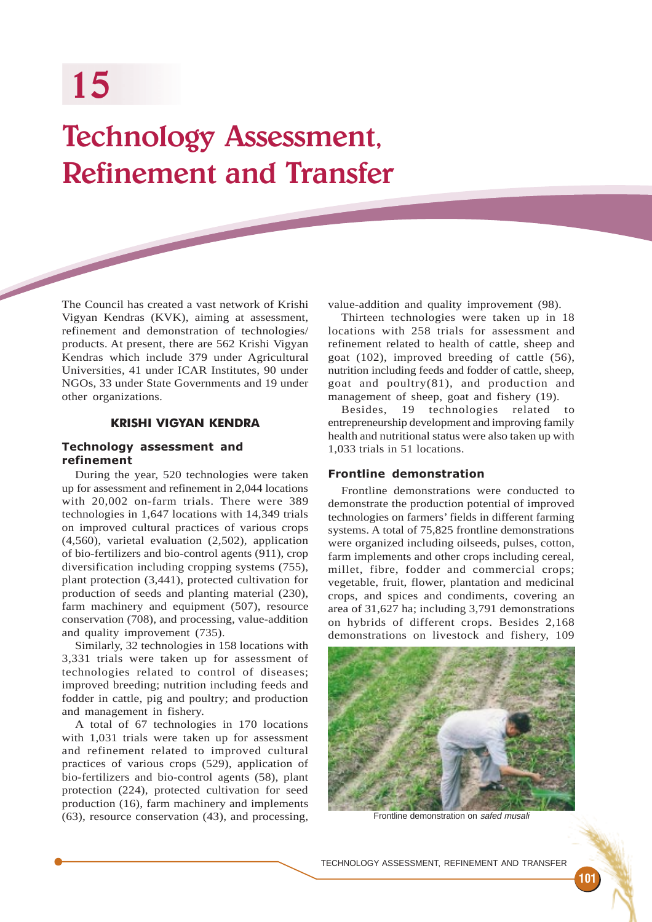# Technology Assessment, Refinement and Transfer

The Council has created a vast network of Krishi Vigyan Kendras (KVK), aiming at assessment, refinement and demonstration of technologies/ products. At present, there are 562 Krishi Vigyan Kendras which include 379 under Agricultural Universities, 41 under ICAR Institutes, 90 under NGOs, 33 under State Governments and 19 under other organizations.

## KRISHI VIGYAN KENDRA

## Technology assessment and refinement

During the year, 520 technologies were taken up for assessment and refinement in 2,044 locations with 20,002 on-farm trials. There were 389 technologies in 1,647 locations with 14,349 trials on improved cultural practices of various crops (4,560), varietal evaluation (2,502), application of bio-fertilizers and bio-control agents (911), crop diversification including cropping systems (755), plant protection (3,441), protected cultivation for production of seeds and planting material (230), farm machinery and equipment (507), resource conservation (708), and processing, value-addition and quality improvement (735).

Similarly, 32 technologies in 158 locations with 3,331 trials were taken up for assessment of technologies related to control of diseases; improved breeding; nutrition including feeds and fodder in cattle, pig and poultry; and production and management in fishery.

A total of 67 technologies in 170 locations with 1,031 trials were taken up for assessment and refinement related to improved cultural practices of various crops (529), application of bio-fertilizers and bio-control agents (58), plant protection (224), protected cultivation for seed production (16), farm machinery and implements (63), resource conservation (43), and processing,

value-addition and quality improvement (98).

Thirteen technologies were taken up in 18 locations with 258 trials for assessment and refinement related to health of cattle, sheep and goat (102), improved breeding of cattle (56), nutrition including feeds and fodder of cattle, sheep, goat and poultry(81), and production and management of sheep, goat and fishery (19).

Besides, 19 technologies related to entrepreneurship development and improving family health and nutritional status were also taken up with 1,033 trials in 51 locations.

## Frontline demonstration

Frontline demonstrations were conducted to demonstrate the production potential of improved technologies on farmers' fields in different farming systems. A total of 75,825 frontline demonstrations were organized including oilseeds, pulses, cotton, farm implements and other crops including cereal, millet, fibre, fodder and commercial crops; vegetable, fruit, flower, plantation and medicinal crops, and spices and condiments, covering an area of 31,627 ha; including 3,791 demonstrations on hybrids of different crops. Besides 2,168 demonstrations on livestock and fishery, 109



Frontline demonstration on safed musali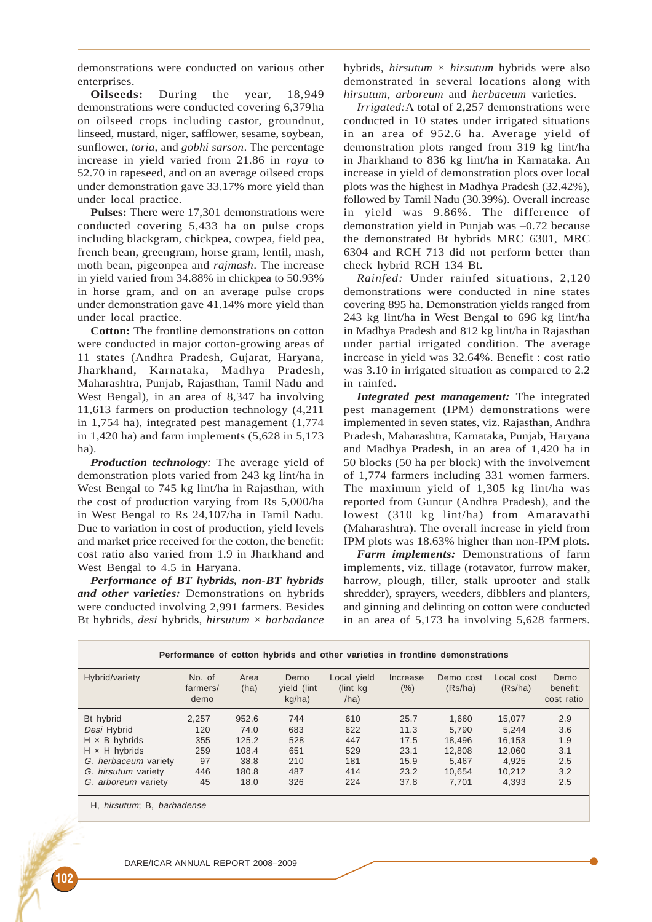demonstrations were conducted on various other enterprises.

**Oilseeds:** During the year, 18,949 demonstrations were conducted covering 6,379ha on oilseed crops including castor, groundnut, linseed, mustard, niger, safflower, sesame, soybean, sunflower, *toria*, and *gobhi sarson*. The percentage increase in yield varied from 21.86 in *raya* to 52.70 in rapeseed, and on an average oilseed crops under demonstration gave 33.17% more yield than under local practice.

**Pulses:** There were 17,301 demonstrations were conducted covering 5,433 ha on pulse crops including blackgram, chickpea, cowpea, field pea, french bean, greengram, horse gram, lentil, mash, moth bean, pigeonpea and *rajmash*. The increase in yield varied from 34.88% in chickpea to 50.93% in horse gram, and on an average pulse crops under demonstration gave 41.14% more yield than under local practice.

**Cotton:** The frontline demonstrations on cotton were conducted in major cotton-growing areas of 11 states (Andhra Pradesh, Gujarat, Haryana, Jharkhand, Karnataka, Madhya Pradesh, Maharashtra, Punjab, Rajasthan, Tamil Nadu and West Bengal), in an area of 8,347 ha involving 11,613 farmers on production technology (4,211 in 1,754 ha), integrated pest management (1,774 in 1,420 ha) and farm implements (5,628 in 5,173 ha).

*Production technology:* The average yield of demonstration plots varied from 243 kg lint/ha in West Bengal to 745 kg lint/ha in Rajasthan, with the cost of production varying from Rs 5,000/ha in West Bengal to Rs 24,107/ha in Tamil Nadu. Due to variation in cost of production, yield levels and market price received for the cotton, the benefit: cost ratio also varied from 1.9 in Jharkhand and West Bengal to 4.5 in Haryana.

*Performance of BT hybrids, non-BT hybrids and other varieties:* Demonstrations on hybrids were conducted involving 2,991 farmers. Besides Bt hybrids, *desi* hybrids, *hirsutum* × *barbadance* hybrids, *hirsutum*  $\times$  *hirsutum* hybrids were also demonstrated in several locations along with *hirsutum*, *arboreum* and *herbaceum* varieties.

*Irrigated:*A total of 2,257 demonstrations were conducted in 10 states under irrigated situations in an area of 952.6 ha. Average yield of demonstration plots ranged from 319 kg lint/ha in Jharkhand to 836 kg lint/ha in Karnataka. An increase in yield of demonstration plots over local plots was the highest in Madhya Pradesh (32.42%), followed by Tamil Nadu (30.39%). Overall increase in yield was 9.86%. The difference of demonstration yield in Punjab was –0.72 because the demonstrated Bt hybrids MRC 6301, MRC 6304 and RCH 713 did not perform better than check hybrid RCH 134 Bt.

*Rainfed:* Under rainfed situations, 2,120 demonstrations were conducted in nine states covering 895 ha. Demonstration yields ranged from 243 kg lint/ha in West Bengal to 696 kg lint/ha in Madhya Pradesh and 812 kg lint/ha in Rajasthan under partial irrigated condition. The average increase in yield was 32.64%. Benefit : cost ratio was 3.10 in irrigated situation as compared to 2.2 in rainfed.

*Integrated pest management:* The integrated pest management (IPM) demonstrations were implemented in seven states, viz. Rajasthan, Andhra Pradesh, Maharashtra, Karnataka, Punjab, Haryana and Madhya Pradesh, in an area of 1,420 ha in 50 blocks (50 ha per block) with the involvement of 1,774 farmers including 331 women farmers. The maximum yield of 1,305 kg lint/ha was reported from Guntur (Andhra Pradesh), and the lowest (310 kg lint/ha) from Amaravathi (Maharashtra). The overall increase in yield from IPM plots was 18.63% higher than non-IPM plots.

*Farm implements:* Demonstrations of farm implements, viz. tillage (rotavator, furrow maker, harrow, plough, tiller, stalk uprooter and stalk shredder), sprayers, weeders, dibblers and planters, and ginning and delinting on cotton were conducted in an area of 5,173 ha involving 5,628 farmers.

| Performance of cotton hybrids and other varieties in frontline demonstrations |                            |              |                               |                                  |                     |                      |                       |                                |
|-------------------------------------------------------------------------------|----------------------------|--------------|-------------------------------|----------------------------------|---------------------|----------------------|-----------------------|--------------------------------|
| Hybrid/variety                                                                | No. of<br>farmers/<br>demo | Area<br>(ha) | Demo<br>yield (lint<br>kq/ha) | Local yield<br>(lint kg)<br>/ha) | Increase<br>$(\% )$ | Demo cost<br>(Rs/ha) | Local cost<br>(Rs/ha) | Demo<br>benefit:<br>cost ratio |
| Bt hybrid                                                                     | 2.257                      | 952.6        | 744                           | 610                              | 25.7                | 1,660                | 15,077                | 2.9                            |
| Desi Hybrid                                                                   | 120                        | 74.0         | 683                           | 622                              | 11.3                | 5.790                | 5.244                 | 3.6                            |
| $H \times B$ hybrids                                                          | 355                        | 125.2        | 528                           | 447                              | 17.5                | 18.496               | 16.153                | 1.9                            |
| $H \times H$ hybrids                                                          | 259                        | 108.4        | 651                           | 529                              | 23.1                | 12.808               | 12.060                | 3.1                            |
| G. herbaceum variety                                                          | 97                         | 38.8         | 210                           | 181                              | 15.9                | 5.467                | 4.925                 | 2.5                            |
| G. hirsutum variety                                                           | 446                        | 180.8        | 487                           | 414                              | 23.2                | 10.654               | 10.212                | 3.2                            |
| G. arboreum variety                                                           | 45                         | 18.0         | 326                           | 224                              | 37.8                | 7.701                | 4.393                 | 2.5                            |

H, hirsutum; B, barbadense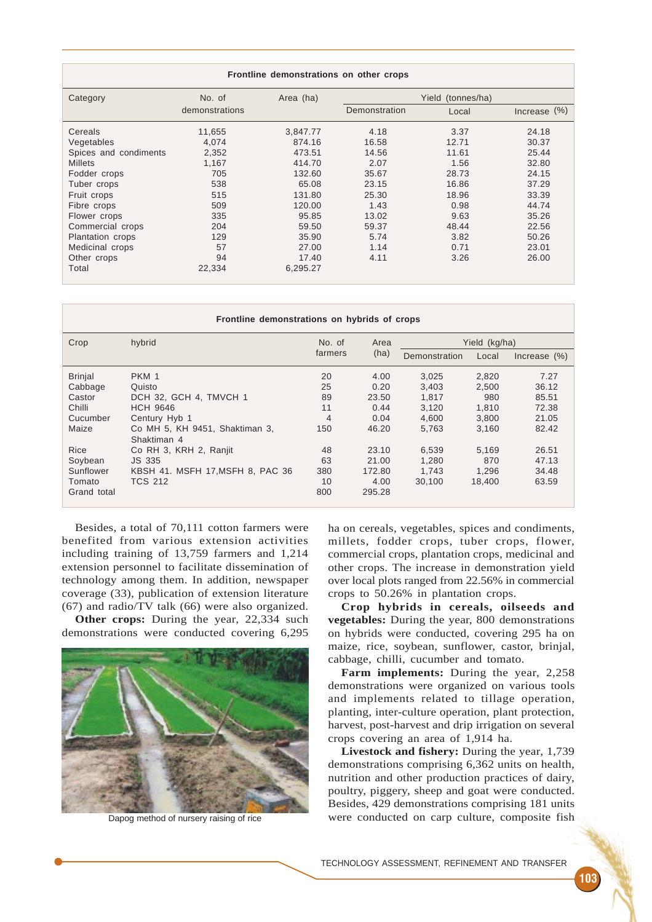|                         |                |           | Frontline demonstrations on other crops |       |              |
|-------------------------|----------------|-----------|-----------------------------------------|-------|--------------|
| Category                | No. of         | Area (ha) | Yield (tonnes/ha)                       |       |              |
|                         | demonstrations |           | Demonstration                           | Local | Increase (%) |
| Cereals                 | 11,655         | 3,847.77  | 4.18                                    | 3.37  | 24.18        |
| Vegetables              | 4.074          | 874.16    | 16.58                                   | 12.71 | 30.37        |
| Spices and condiments   | 2,352          | 473.51    | 14.56                                   | 11.61 | 25.44        |
| <b>Millets</b>          | 1,167          | 414.70    | 2.07                                    | 1.56  | 32.80        |
| Fodder crops            | 705            | 132.60    | 35.67                                   | 28.73 | 24.15        |
| Tuber crops             | 538            | 65.08     | 23.15                                   | 16.86 | 37.29        |
| Fruit crops             | 515            | 131.80    | 25.30                                   | 18.96 | 33.39        |
| Fibre crops             | 509            | 120.00    | 1.43                                    | 0.98  | 44.74        |
| Flower crops            | 335            | 95.85     | 13.02                                   | 9.63  | 35.26        |
| Commercial crops        | 204            | 59.50     | 59.37                                   | 48.44 | 22.56        |
| <b>Plantation crops</b> | 129            | 35.90     | 5.74                                    | 3.82  | 50.26        |
| Medicinal crops         | 57             | 27.00     | 1.14                                    | 0.71  | 23.01        |
| Other crops             | 94             | 17.40     | 4.11                                    | 3.26  | 26.00        |
| Total                   | 22,334         | 6,295.27  |                                         |       |              |

| Frontline demonstrations on hybrids of crops |                                               |                   |              |               |        |                 |  |
|----------------------------------------------|-----------------------------------------------|-------------------|--------------|---------------|--------|-----------------|--|
| Crop                                         | hybrid                                        | No. of<br>farmers | Area<br>(ha) | Yield (kg/ha) |        |                 |  |
|                                              |                                               |                   |              | Demonstration | Local  | Increase $(\%)$ |  |
| <b>Brinjal</b>                               | PKM 1                                         | 20                | 4.00         | 3,025         | 2,820  | 7.27            |  |
| Cabbage                                      | Quisto                                        | 25                | 0.20         | 3,403         | 2.500  | 36.12           |  |
| Castor                                       | DCH 32, GCH 4, TMVCH 1                        | 89                | 23.50        | 1.817         | 980    | 85.51           |  |
| Chilli                                       | <b>HCH 9646</b>                               | 11                | 0.44         | 3,120         | 1.810  | 72.38           |  |
| Cucumber                                     | Century Hyb 1                                 | 4                 | 0.04         | 4.600         | 3.800  | 21.05           |  |
| Maize                                        | Co MH 5, KH 9451, Shaktiman 3,<br>Shaktiman 4 | 150               | 46.20        | 5.763         | 3.160  | 82.42           |  |
| Rice                                         | Co RH 3, KRH 2, Ranjit                        | 48                | 23.10        | 6,539         | 5.169  | 26.51           |  |
| Soybean                                      | JS 335                                        | 63                | 21.00        | 1,280         | 870    | 47.13           |  |
| Sunflower                                    | KBSH 41. MSFH 17, MSFH 8, PAC 36              | 380               | 172.80       | 1.743         | 1.296  | 34.48           |  |
| Tomato                                       | <b>TCS 212</b>                                | 10                | 4.00         | 30.100        | 18.400 | 63.59           |  |
| Grand total                                  |                                               | 800               | 295.28       |               |        |                 |  |

Besides, a total of 70,111 cotton farmers were benefited from various extension activities including training of 13,759 farmers and 1,214 extension personnel to facilitate dissemination of technology among them. In addition, newspaper coverage (33), publication of extension literature (67) and radio/TV talk (66) were also organized.

**Other crops:** During the year, 22,334 such demonstrations were conducted covering 6,295



ha on cereals, vegetables, spices and condiments, millets, fodder crops, tuber crops, flower, commercial crops, plantation crops, medicinal and other crops. The increase in demonstration yield over local plots ranged from 22.56% in commercial crops to 50.26% in plantation crops.

**Crop hybrids in cereals, oilseeds and vegetables:** During the year, 800 demonstrations on hybrids were conducted, covering 295 ha on maize, rice, soybean, sunflower, castor, brinjal, cabbage, chilli, cucumber and tomato.

**Farm implements:** During the year, 2,258 demonstrations were organized on various tools and implements related to tillage operation, planting, inter-culture operation, plant protection, harvest, post-harvest and drip irrigation on several crops covering an area of 1,914 ha.

**Livestock and fishery:** During the year, 1,739 demonstrations comprising 6,362 units on health, nutrition and other production practices of dairy, poultry, piggery, sheep and goat were conducted. Besides, 429 demonstrations comprising 181 units Dapog method of nursery raising of rice were conducted on carp culture, composite fish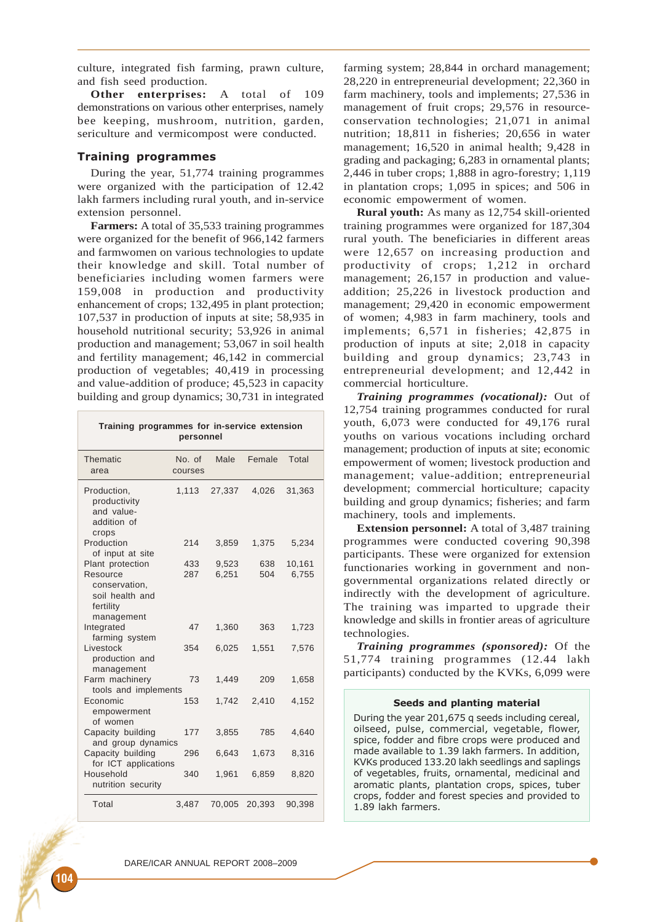culture, integrated fish farming, prawn culture, and fish seed production.

**Other enterprises:** A total of 109 demonstrations on various other enterprises, namely bee keeping, mushroom, nutrition, garden, sericulture and vermicompost were conducted.

### Training programmes

During the year, 51,774 training programmes were organized with the participation of 12.42 lakh farmers including rural youth, and in-service extension personnel.

**Farmers:** A total of 35,533 training programmes were organized for the benefit of 966,142 farmers and farmwomen on various technologies to update their knowledge and skill. Total number of beneficiaries including women farmers were 159,008 in production and productivity enhancement of crops; 132,495 in plant protection; 107,537 in production of inputs at site; 58,935 in household nutritional security; 53,926 in animal production and management; 53,067 in soil health and fertility management; 46,142 in commercial production of vegetables; 40,419 in processing and value-addition of produce; 45,523 in capacity building and group dynamics; 30,731 in integrated

| Training programmes for in-service extension<br>personnel                     |                   |                |            |                 |  |  |
|-------------------------------------------------------------------------------|-------------------|----------------|------------|-----------------|--|--|
| <b>Thematic</b><br>area                                                       | No. of<br>courses | Male           | Female     | Total           |  |  |
| Production,<br>productivity<br>and value-<br>addition of<br>crops             | 1,113             | 27,337         | 4.026      | 31,363          |  |  |
| Production<br>of input at site                                                | 214               | 3,859          | 1,375      | 5,234           |  |  |
| Plant protection<br>Resource<br>conservation,<br>soil health and<br>fertility | 433<br>287        | 9,523<br>6,251 | 638<br>504 | 10,161<br>6,755 |  |  |
| management<br>Integrated<br>farming system                                    | 47                | 1,360          | 363        | 1,723           |  |  |
| Livestock<br>production and<br>management                                     | 354               | 6,025          | 1,551      | 7,576           |  |  |
| Farm machinery<br>tools and implements                                        | 73                | 1.449          | 209        | 1,658           |  |  |
| Economic<br>empowerment<br>of women                                           | 153               | 1.742          | 2,410      | 4,152           |  |  |
| Capacity building<br>and group dynamics                                       | 177               | 3,855          | 785        | 4,640           |  |  |
| Capacity building<br>for ICT applications                                     | 296               | 6,643          | 1,673      | 8,316           |  |  |
| Household<br>nutrition security                                               | 340               | 1,961          | 6,859      | 8,820           |  |  |
| Total                                                                         | 3,487             | 70,005         | 20,393     | 90,398          |  |  |

farming system; 28,844 in orchard management; 28,220 in entrepreneurial development; 22,360 in farm machinery, tools and implements; 27,536 in management of fruit crops; 29,576 in resourceconservation technologies; 21,071 in animal nutrition; 18,811 in fisheries; 20,656 in water management; 16,520 in animal health; 9,428 in grading and packaging; 6,283 in ornamental plants; 2,446 in tuber crops; 1,888 in agro-forestry; 1,119 in plantation crops; 1,095 in spices; and 506 in economic empowerment of women.

**Rural youth:** As many as 12,754 skill-oriented training programmes were organized for 187,304 rural youth. The beneficiaries in different areas were 12,657 on increasing production and productivity of crops; 1,212 in orchard management; 26,157 in production and valueaddition; 25,226 in livestock production and management; 29,420 in economic empowerment of women; 4,983 in farm machinery, tools and implements; 6,571 in fisheries; 42,875 in production of inputs at site; 2,018 in capacity building and group dynamics; 23,743 in entrepreneurial development; and 12,442 in commercial horticulture.

*Training programmes (vocational):* Out of 12,754 training programmes conducted for rural youth, 6,073 were conducted for 49,176 rural youths on various vocations including orchard management; production of inputs at site; economic empowerment of women; livestock production and management; value-addition; entrepreneurial development; commercial horticulture; capacity building and group dynamics; fisheries; and farm machinery, tools and implements.

**Extension personnel:** A total of 3,487 training programmes were conducted covering 90,398 participants. These were organized for extension functionaries working in government and nongovernmental organizations related directly or indirectly with the development of agriculture. The training was imparted to upgrade their knowledge and skills in frontier areas of agriculture technologies.

*Training programmes (sponsored):* Of the 51,774 training programmes (12.44 lakh participants) conducted by the KVKs, 6,099 were

#### Seeds and planting material

During the year 201,675 q seeds including cereal, oilseed, pulse, commercial, vegetable, flower, spice, fodder and fibre crops were produced and made available to 1.39 lakh farmers. In addition, KVKs produced 133.20 lakh seedlings and saplings of vegetables, fruits, ornamental, medicinal and aromatic plants, plantation crops, spices, tuber crops, fodder and forest species and provided to 1.89 lakh farmers.